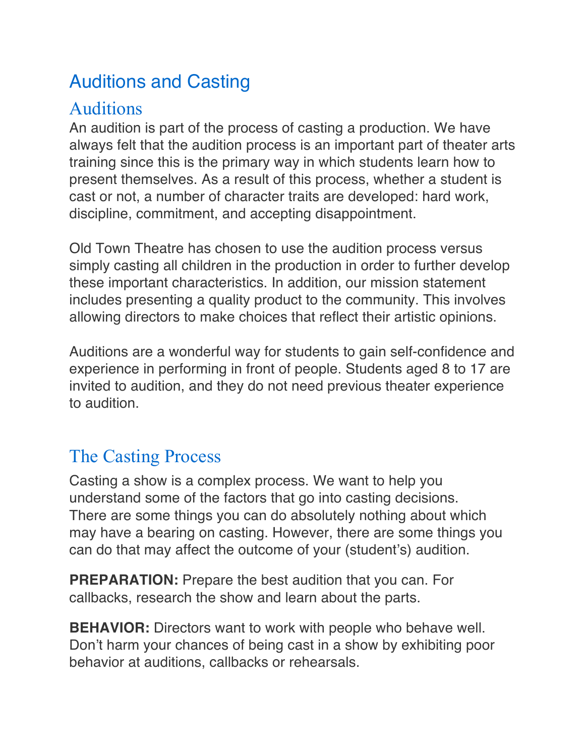# Auditions and Casting

#### Auditions

An audition is part of the process of casting a production. We have always felt that the audition process is an important part of theater arts training since this is the primary way in which students learn how to present themselves. As a result of this process, whether a student is cast or not, a number of character traits are developed: hard work, discipline, commitment, and accepting disappointment.

Old Town Theatre has chosen to use the audition process versus simply casting all children in the production in order to further develop these important characteristics. In addition, our mission statement includes presenting a quality product to the community. This involves allowing directors to make choices that reflect their artistic opinions.

Auditions are a wonderful way for students to gain self-confidence and experience in performing in front of people. Students aged 8 to 17 are invited to audition, and they do not need previous theater experience to audition.

### The Casting Process

Casting a show is a complex process. We want to help you understand some of the factors that go into casting decisions. There are some things you can do absolutely nothing about which may have a bearing on casting. However, there are some things you can do that may affect the outcome of your (student's) audition.

**PREPARATION:** Prepare the best audition that you can. For callbacks, research the show and learn about the parts.

**BEHAVIOR:** Directors want to work with people who behave well. Don't harm your chances of being cast in a show by exhibiting poor behavior at auditions, callbacks or rehearsals.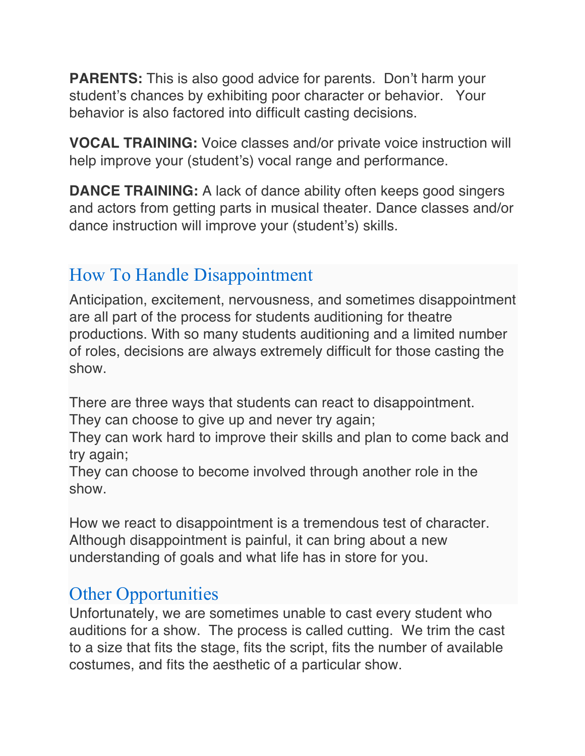**PARENTS:** This is also good advice for parents. Don't harm your student's chances by exhibiting poor character or behavior. Your behavior is also factored into difficult casting decisions.

**VOCAL TRAINING:** Voice classes and/or private voice instruction will help improve your (student's) vocal range and performance.

**DANCE TRAINING:** A lack of dance ability often keeps good singers and actors from getting parts in musical theater. Dance classes and/or dance instruction will improve your (student's) skills.

## How To Handle Disappointment

Anticipation, excitement, nervousness, and sometimes disappointment are all part of the process for students auditioning for theatre productions. With so many students auditioning and a limited number of roles, decisions are always extremely difficult for those casting the show.

There are three ways that students can react to disappointment. They can choose to give up and never try again;

They can work hard to improve their skills and plan to come back and try again;

They can choose to become involved through another role in the show.

How we react to disappointment is a tremendous test of character. Although disappointment is painful, it can bring about a new understanding of goals and what life has in store for you.

#### Other Opportunities

Unfortunately, we are sometimes unable to cast every student who auditions for a show. The process is called cutting. We trim the cast to a size that fits the stage, fits the script, fits the number of available costumes, and fits the aesthetic of a particular show.